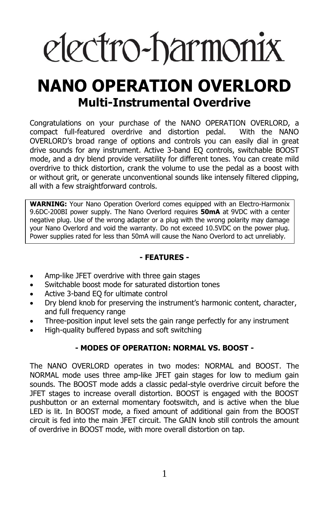# electro-harmonix

## **NANO OPERATION OVERLORD Multi-Instrumental Overdrive**

Congratulations on your purchase of the NANO OPERATION OVERLORD, a compact full-featured overdrive and distortion pedal. With the NANO OVERLORD's broad range of options and controls you can easily dial in great drive sounds for any instrument. Active 3-band EQ controls, switchable BOOST mode, and a dry blend provide versatility for different tones. You can create mild overdrive to thick distortion, crank the volume to use the pedal as a boost with or without grit, or generate unconventional sounds like intensely filtered clipping, all with a few straightforward controls.

**WARNING:** Your Nano Operation Overlord comes equipped with an Electro-Harmonix 9.6DC-200BI power supply. The Nano Overlord requires **50mA** at 9VDC with a center negative plug. Use of the wrong adapter or a plug with the wrong polarity may damage your Nano Overlord and void the warranty. Do not exceed 10.5VDC on the power plug. Power supplies rated for less than 50mA will cause the Nano Overlord to act unreliably.

#### **- FEATURES -**

- Amp-like JFET overdrive with three gain stages
- Switchable boost mode for saturated distortion tones
- Active 3-band EQ for ultimate control
- Dry blend knob for preserving the instrument's harmonic content, character, and full frequency range
- Three-position input level sets the gain range perfectly for any instrument
- High-quality buffered bypass and soft switching

#### **- MODES OF OPERATION: NORMAL VS. BOOST -**

The NANO OVERLORD operates in two modes: NORMAL and BOOST. The NORMAL mode uses three amp-like JFET gain stages for low to medium gain sounds. The BOOST mode adds a classic pedal-style overdrive circuit before the JFET stages to increase overall distortion. BOOST is engaged with the BOOST pushbutton or an external momentary footswitch, and is active when the blue LED is lit. In BOOST mode, a fixed amount of additional gain from the BOOST circuit is fed into the main JFET circuit. The GAIN knob still controls the amount of overdrive in BOOST mode, with more overall distortion on tap.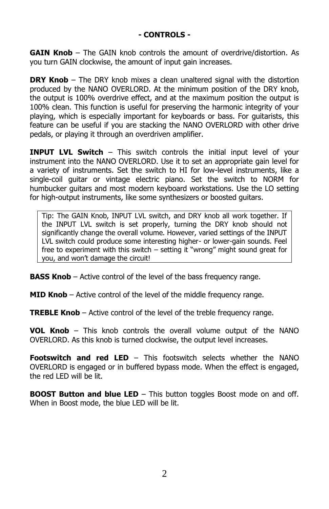**GAIN Knob** – The GAIN knob controls the amount of overdrive/distortion. As you turn GAIN clockwise, the amount of input gain increases.

**DRY Knob** – The DRY knob mixes a clean unaltered signal with the distortion produced by the NANO OVERLORD. At the minimum position of the DRY knob, the output is 100% overdrive effect, and at the maximum position the output is 100% clean. This function is useful for preserving the harmonic integrity of your playing, which is especially important for keyboards or bass. For guitarists, this feature can be useful if you are stacking the NANO OVERLORD with other drive pedals, or playing it through an overdriven amplifier.

**INPUT LVL Switch** – This switch controls the initial input level of your instrument into the NANO OVERLORD. Use it to set an appropriate gain level for a variety of instruments. Set the switch to HI for low-level instruments, like a single-coil guitar or vintage electric piano. Set the switch to NORM for humbucker guitars and most modern keyboard workstations. Use the LO setting for high-output instruments, like some synthesizers or boosted guitars.

Tip: The GAIN Knob, INPUT LVL switch, and DRY knob all work together. If the INPUT LVL switch is set properly, turning the DRY knob should not significantly change the overall volume. However, varied settings of the INPUT LVL switch could produce some interesting higher- or lower-gain sounds. Feel free to experiment with this switch – setting it "wrong" might sound great for you, and won't damage the circuit!

**BASS Knob** – Active control of the level of the bass frequency range.

**MID Knob** – Active control of the level of the middle frequency range.

**TREBLE Knob** – Active control of the level of the treble frequency range.

**VOL Knob** – This knob controls the overall volume output of the NANO OVERLORD. As this knob is turned clockwise, the output level increases.

**Footswitch and red LED** – This footswitch selects whether the NANO OVERLORD is engaged or in buffered bypass mode. When the effect is engaged, the red LED will be lit.

**BOOST Button and blue LED** – This button toggles Boost mode on and off. When in Boost mode, the blue LED will be lit.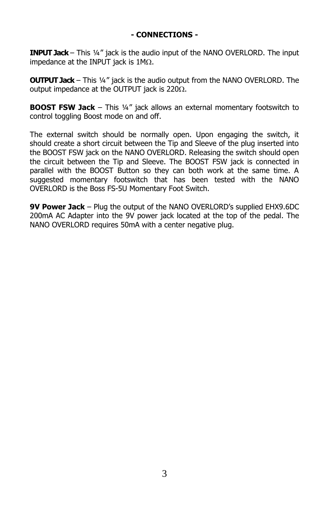#### **- CONNECTIONS -**

**INPUT Jack** – This ¼" jack is the audio input of the NANO OVERLORD. The input impedance at the INPUT jack is  $1M<sub>\Omega</sub>$ .

**OUTPUT Jack** – This ¼" jack is the audio output from the NANO OVERLORD. The output impedance at the OUTPUT jack is  $220\Omega$ .

**BOOST FSW Jack** – This 1/4" jack allows an external momentary footswitch to control toggling Boost mode on and off.

The external switch should be normally open. Upon engaging the switch, it should create a short circuit between the Tip and Sleeve of the plug inserted into the BOOST FSW jack on the NANO OVERLORD. Releasing the switch should open the circuit between the Tip and Sleeve. The BOOST FSW jack is connected in parallel with the BOOST Button so they can both work at the same time. A suggested momentary footswitch that has been tested with the NANO OVERLORD is the Boss FS-5U Momentary Foot Switch.

**9V Power Jack** – Plug the output of the NANO OVERLORD's supplied EHX9.6DC 200mA AC Adapter into the 9V power jack located at the top of the pedal. The NANO OVERLORD requires 50mA with a center negative plug.